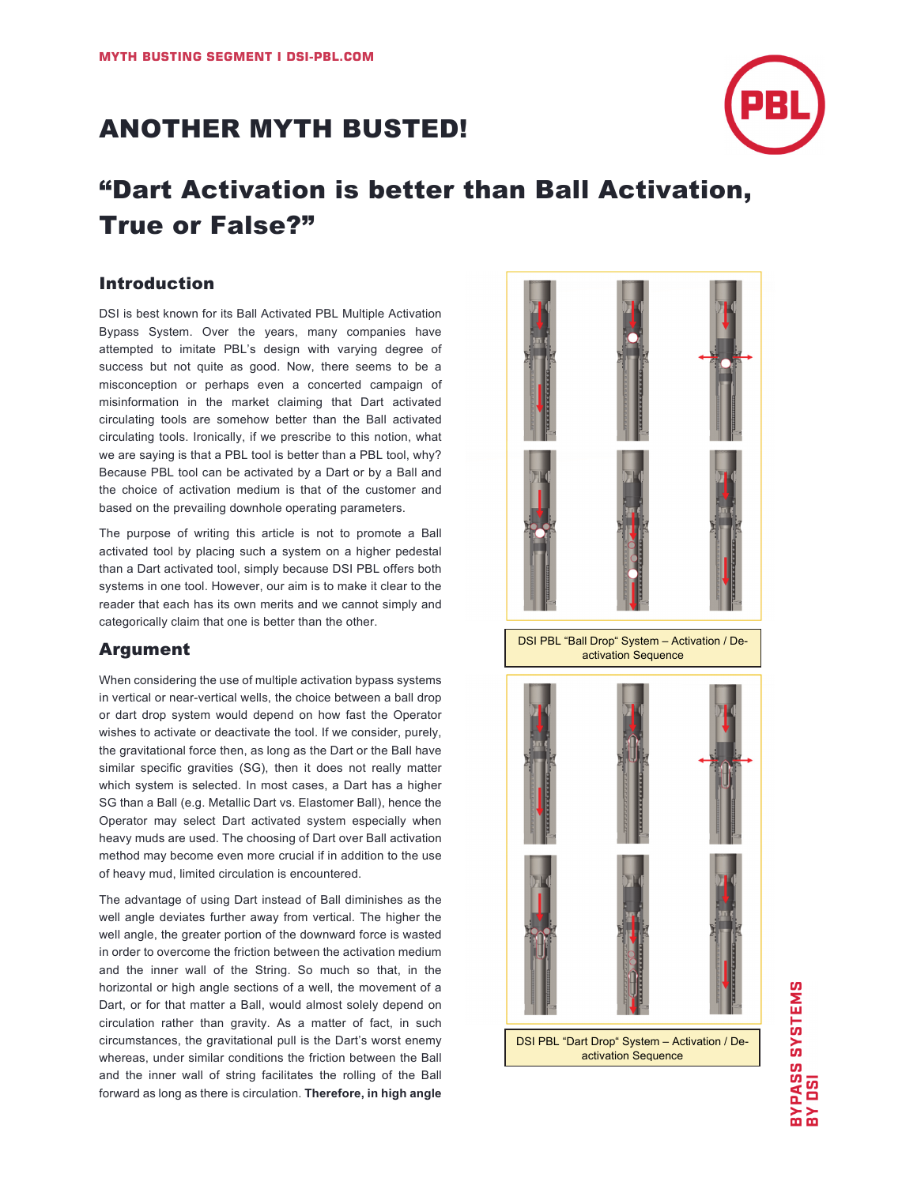## ANOTHER MYTH BUSTED!



# "Dart Activation is better than Ball Activation, True or False?"

### Introduction

DSI is best known for its Ball Activated PBL Multiple Activation Bypass System. Over the years, many companies have attempted to imitate PBL's design with varying degree of success but not quite as good. Now, there seems to be a misconception or perhaps even a concerted campaign of misinformation in the market claiming that Dart activated circulating tools are somehow better than the Ball activated circulating tools. Ironically, if we prescribe to this notion, what we are saying is that a PBL tool is better than a PBL tool, why? Because PBL tool can be activated by a Dart or by a Ball and the choice of activation medium is that of the customer and based on the prevailing downhole operating parameters.

The purpose of writing this article is not to promote a Ball activated tool by placing such a system on a higher pedestal than a Dart activated tool, simply because DSI PBL offers both systems in one tool. However, our aim is to make it clear to the reader that each has its own merits and we cannot simply and categorically claim that one is better than the other.

### Argument

When considering the use of multiple activation bypass systems in vertical or near-vertical wells, the choice between a ball drop or dart drop system would depend on how fast the Operator wishes to activate or deactivate the tool. If we consider, purely, the gravitational force then, as long as the Dart or the Ball have similar specific gravities (SG), then it does not really matter which system is selected. In most cases, a Dart has a higher SG than a Ball (e.g. Metallic Dart vs. Elastomer Ball), hence the Operator may select Dart activated system especially when heavy muds are used. The choosing of Dart over Ball activation method may become even more crucial if in addition to the use of heavy mud, limited circulation is encountered.

The advantage of using Dart instead of Ball diminishes as the well angle deviates further away from vertical. The higher the well angle, the greater portion of the downward force is wasted in order to overcome the friction between the activation medium and the inner wall of the String. So much so that, in the horizontal or high angle sections of a well, the movement of a Dart, or for that matter a Ball, would almost solely depend on circulation rather than gravity. As a matter of fact, in such circumstances, the gravitational pull is the Dart's worst enemy whereas, under similar conditions the friction between the Ball and the inner wall of string facilitates the rolling of the Ball forward as long as there is circulation. **Therefore, in high angle** 



activation Sequence



# **BYPASS SYSTEMS**<br>BY DSI